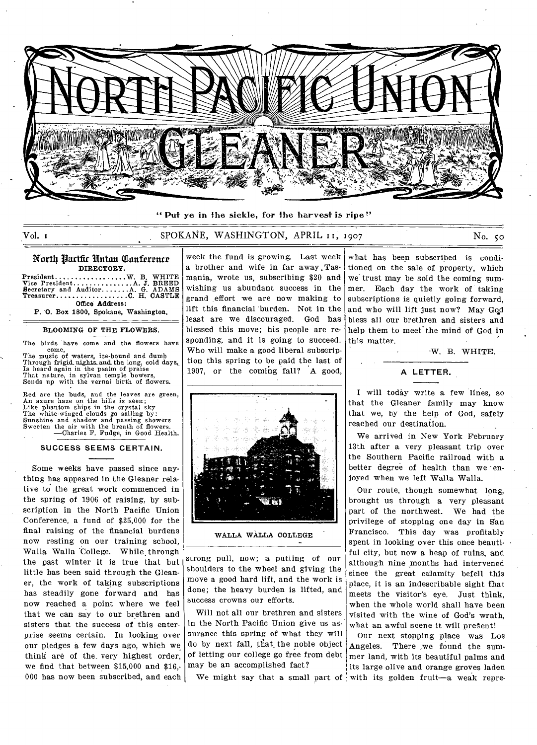

**" Put** ye in the sickle, for the harvest is ripe"

## Vol. i SPOKANE, WASHINGTON, APRIL I 1, 1907 No. so

#### Wort4 ilarifir Union Qiiniftrrnrr **DIRECTORY.**

President...........<br>
Vice President........<br>
Becretary and Auditor.<br>
Treasurer............. **Office Address:**   $\ldots \ldots \ldots \mathbf{W}$ . B. WHITE A. J. BREED<br>
A. G. ADAMS<br> **C. H. CASTLE** 

**P. 'O. Box 1800, Spokane, Washington.** 

#### **BLOOMING OF THE FLOWERS.**

The birds have come and the flowers have

come, The music of waters, ice-bound and dumb Through frigid nights and the long, cold days, Is heard again in the psalm of praise That nature, in sylvan temple bowers, Sends up with the vernal birth of flowers.

Red are the buds, and the leaves are green, An azure haze on the hills is seen; Like phantom ships in the crystal sky The white-winged clouds go sailing by: Sunshine and shadow and passing showers Sweeten the air with the breath of flowers. —Charles F. Fudge, in Good Health.

#### **SUCCESS SEEMS CERTAIN.**

Some weeks have passed since anything has appeared in the Gleaner relative to the great work commenced in the spring of 1906 of raising, by subscription in the North Pacific Union Conference, a fund of \$25,000 for the final raising of the financial burdens now resting on our training school, Walla Walla College. While through the past winter it is true that but little has been said through the Gleaner, the work of taking subscriptions has steadily gone forward and has now reached a point where we feel that we can say to our brethren and sisters that the success of this enterprise seems certain. In looking over our pledges a few days ago, which we think are of the. very highest order, we find that between \$15,000 and \$16,- 000 has now been subscribed, and each

week the fund is growing. Last week a brother and wife in far away .Tasmania, wrote us, subscribing \$20 and wishing us abundant success in the grand effort we are now making to lift this financial burden. Not in the least are we discouraged. God has blessed this move; his people are responding, and it is going to succeed. Who will make a good liberal subscription this spring to be paid the last of 1907, or the coming fall? A good,



-W. B. WHITE.

**A LETTER.** 



**WALLA WALLA COLLEGE** 

strong pull, now; a putting of our shoulders to the wheel and giving the move a good hard lift, and the work is done; the heavy burden is lifted, and success crowns our efforts.

Will not all our brethren and sisters in the North Pacific Union give us assurance this spring of what they will do by next fall, that\_ the noble object of letting our college go free from debt may be an accomplished fact?

I will today write a few lines, so that the Gleaner family may know that we, by the help of God, safely reached our destination.

We arrived in New York February 13th after a very pleasant trip over the Southern Pacific railroad with a better degree of health than we enjoyed when we left Walla Walla.

Our route, though somewhat long, brought us through a very pleasant part of the northwest. We had the privilege of stopping one day in San Francisco. This day was profitably spent in looking over this once beautiful city, but now a heap of ruins, and although nine months had intervened since the great calamity befell this place, it is an indescribable sight that meets the visitor's eye. Just think, when the whole world shall have been visited with the wine of God's wrath, what an awful scene it will present!

We might say that a small part of with its golden fruit-a weak repre-Our next stopping place was Los Angeles. There ,we found the summer land, with its beautiful palms and its large olive and orange groves laden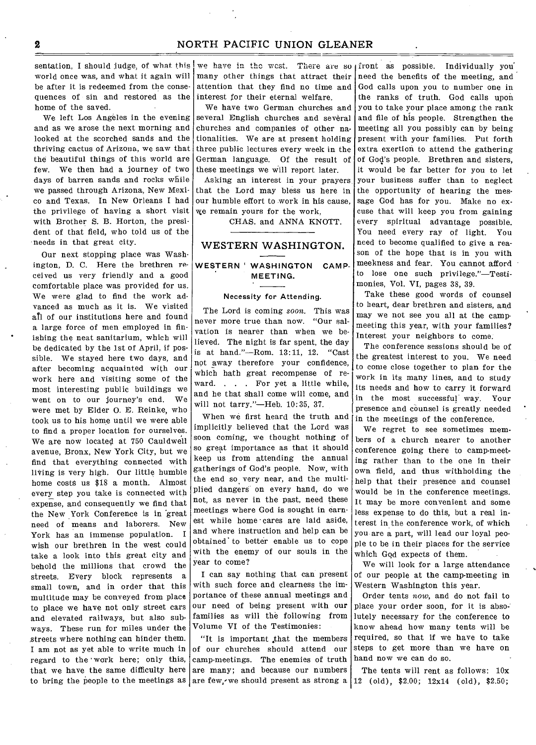sentation, I should judge, of what this world once was, and what it again will be after it is redeemed from the consequences of sin and restored as the interest for their eternal welfare. home of the saved.

We left Los Angeles in the evening and as we arose the next morning and looked at the scorched sands and the thriving cactus of Arizona, we saw that the beautiful things of this world are few. We then had a journey of two days of barren sands and rocks while we passed through Arizona, New Mexico and Texas. In New Orleans I had the privilege of having a short visit with Brother S. B. Horton, the president of that field, who told us of the needs in that great city.

Our next stopping place was Washington, D. C. Here the brethren received us very friendly and a good comfortable place was provided for us. We were glad to find the work advanced as much as it is. We visited all of our institutions here and found a large force of men employed in fin ishing the neat sanitarium, which will be dedicated by the 1st of April, if possible. We stayed here two days, and after becoming acquainted with our work here and visiting some of the most interesting public buildings we went on to our journey's end. We were met by Elder 0. E. Reinke, who took us to his home until we were able to find a proper location for ourselves. We are now located at 750 Cauldwell avenue, Bronx, New York City, but we find that everything connected with living is very high. Our little humble home costs us \$18 a month. Almost every step you take is connected with expense, and consequently we find that the New York Conference is in great need of means and laborers. New York has an immense population. I wish our brethren in the west could take a look into this great city and behold the millions that crowd the streets. Every block represents a small town, and in order that this multitude may be conveyed from place to place we have not only street cars and elevated railways, but also subways. These run for miles under the streets where nothing can hinder them. I am not as yet able to write much in regard to the 'work here; only this, that we have the same difficulty here

we have in the west. There are so front as possible. Individually you many other things that attract their attention that they find no time and

We have two German churches and several English churches and several churches and companies of other nationalities. We are at present holding three public lectures every week in the German language. Of the result of these meetings we will report later.

Asking an interest in your prayers that the Lord may bless us here in our humble effort to work in his cause, we remain yours for the work,

CHAS. and ANNA KNOTT.

# WESTERN WASHINGTON.

# WESTERN ' WASHINGTON CAMP-MEETING.

## Necessity for Attending.

The Lord is coming *soon.* This was never more true than now. "Our salvation is nearer than when we believed. The night is far spent, the day is at hand."—Rom. 13:11, 12. "Cast not away therefore your confidence, which bath great recompense of reward. . . . For yet a little while, and he that shall come will come, and will not tarry."—Heb. 10:35, 37.

When we first heard the truth and implicitly believed that the Lord was soon coming, we thought nothing of so great importance as that it should keep us from attending the annual gatherings of God's people. Now, with the end so very near, and the multiplied dangers on every hand, do we not, as never in the past, need these meetings where God is sought in earnest while home cares are laid aside, and where instruction and help can be obtained' to better enable us to cope with the enemy of our souls in the year to come?

I can say nothing that can present with such force and clearness the importance of these annual meetings and our need of being present with our families as will the following from Volume VI of the Testimonies:

to bring the people to the meetings as are few, we should present as strong a 12 (old), \$2.00; 12x14 (old), \$2.50; "It is important that the members of our churches should attend our camp-meetings. The enemies of truth are many; and because our numbers

need the benefits of the meeting, and God calls upon you to number one in the ranks of truth. God calls upon you to take your place among the rank and file of his people. Strengthen the meeting all you possibly can by being present with your families. Put forth extra exertion to attend the gathering of God's people. Brethren and sisters, it would be far better for you to let your business suffer than to neglect the opportunity of hearing the message God has for you. Make no excuse that will keep you from gaining every spiritual advantage possible. You need every ray of light. You need to become qualified to give a reason of the hope that is in you with meekness and fear. You cannot afford to lose one such privilege."—Testimonies, Vol. VI, pages 38, 39.

Take these good words of counsel to heart, dear brethren and sisters, and may we not see you all at the campmeeting this year, with your families? Interest your neighbors to come.

The conference sessions should be of the greatest interest to you. We need to come close together to plan for the work in its many lines, and to study its needs and how to carry it forward in the most successful way. Your presence and counsel is greatly needed in the meetings of the conference.

We regret to see sometimes members of a church nearer to another conference going there to camp-meeting rather than to the one in their own field, and thus withholding the help that their presence and counsel would be in the conference meetings. It may be more convenient and some less expense to do this, but a real interest in the conference work, of which you are a part, will lead our loyal people to be in their places for the service which God expects of them.

We will look for a large attendance of our people at the camp-meeting in Western Washington this year.

Order tents now, and do not fail to place your order soon, for it is absolutely necessary for the conference to know ahead how many tents will be required, so that if we have to take steps to get more than we have on hand now we can do so.

The tents will rent as follows: 10x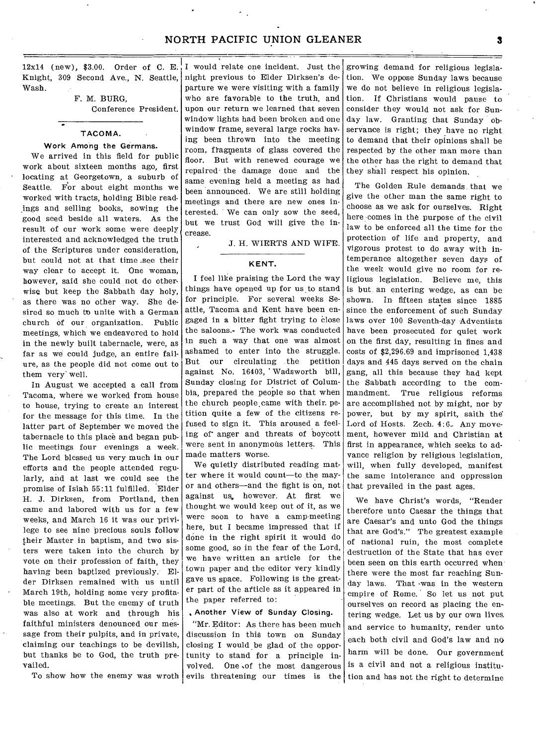Knight, 309 Second Ave., N. Seattle, Wash. 12x14 (new), \$3.00. Order of C. E., I would relate one incident. Just the

### TACOMA.

## Work Among the Germans.

We arrived in this field for public work about sixteen months ago, first locating at Georgetown, a suburb of Seattle. For about eight months we worked with tracts, holding Bible readings and selling books, sowing the good seed beside all waters. As the result of our work some were deeply interested and acknowledged the truth of the Scriptures under consideration, but could not at that time ,see their way clear to accept it. One woman, however, said she could not do otherwise but keep the Sabbath day holy, as there was no other way. She desired so much to unite with a German church of our organization. Public meetings, which we endeavored to hold in the newly built tabernacle, were, as far as we could judge, an entire failure, as the people did not come out to them very well.

In August we accepted a call from Tacoma, where we worked from house to house, trying to create an interest for the message for this time. In the latter part of September we moved the tabernacle to this place and began public meetings four evenings a week. The Lord blessed us very much in our efforts and the people attended regularly, and at last we could see the promise of Isiah 55:11 fulfilled. Elder H. J. Dirksen, from Portland, then came and labored with us for a few weeks, and March 16 it was our privilege to see nine precious souls follow their Master in baptism, and two sisters were taken into the church by vote on their profession of faith, they having been baptized previously. Elder Dirksen remained with us until March 19th, holding some very profitable meetings. But the enemy of truth was also at work and through his faithful ministers denounced our message from their pulpits, and in private, claiming our teachings to be devilish, but thanks be to God, the truth prevailed.

To show how the enemy was wroth

night previous to Elder Dirksen's departure we were visiting with a family F. M. BURG, who are favorable to the truth, and Conference President. upon our return we learned that seven window lights had been broken and one window frame, several large rocks having been thrown into the meeting room, fragments of glass covered the floor. But with renewed courage we repaired the damage done and the same evening held a meeting as had been announced. We are still holding meetings and there are new ones interested. We can only sow the seed, but we trust God will give the increase.

J. H. WIERTS AND WIFE.

## **KENT.**

I feel like praising the Lord the way things have opened up for us to stand for principle. For several weeks Seattle, Tacoma and Kent have been engaged in a bitter fight trying to close the saloons.- The work was conducted in such a way that one was almost ashamed to enter into the struggle. But our circulating the petition against No. 16403, Wadsworth bill, Sunday closing for District of Columbia, prepared the people so that when the church people came with their. petition quite a few of the citizens refused to sign it. This aroused a feeling of anger and threats of boycott were sent in anonymous letters. This made matters worse.

We quietly distributed reading matter where it would count—to the mayor and others—and the fight is on, not against us, however. At first we thought we would keep out of it, as we were soon to have a camp-meeting here, but I became impressed that if done in the right spirit it would do some good, so in the fear of the Lord, we have written an article for the town paper and the editor very kindly gave us space. Following is the greater part of the article as it appeared in the paper referred to:

#### Another View of Sunday Closing.

"Mr. Editor: As there has been much discussion in this town on Sunday closing I would be glad of the opportunity to stand for a principle involved. One ,of the most dangerous evils threatening our times is the

growing demand for religious legislation. We oppose Sunday laws because we do not believe in religious legislation. If Christians would pause to consider they would not ask for Sunday law. Granting that Sunday observance is right; they have no right to demand that their opinions shall be respected by the other man more than the other has the right to demand that they shall respect his opinion.

The Golden Rule demands that we give the other man the same right to choose as we ask for ourselves. Right here comes in the purpose of the civil law to be enforced all the time for the protection of life and property, and vigorous protest to do away with intemperance altogether seven days of the week would give no room for religious legislation. Believe me, this is but an entering wedge, as can be shown. In fifteen states since 1885 since the enforcement of such Sunday laws over 100 Seventh-day Adventists have been prosecuted for quiet work on the first day, resulting in fines and costs of \$2,296.69 and imprisoned 1,438 days and 445 days served on the chain gang, all this because they had kept the Sabbath according to the commandment. True religious reforms are accomplished not by might, nor by power, but by my spirit, saith the Lord of Hosts. Zech. 4:6. Any movement, however mild and Christian at first in appearance, which seeks to advance religion by religious legislation, will, when fully developed, manifest the same intolerance and oppression that prevailed in the past ages.

We have Christ's words, "Render therefore unto Caesar the things that are Caesar's and unto God the things that are God's." The greatest example of national ruin, the most complete destruction of the State that has ever been seen on this earth occurred when there were the most far reaching Sunday laws. That -was in the western empire of Rome. So let us not put ourselves on record as placing the entering wedge. Let us by our own lives, and service to humanity, render unto, each both civil and God's law and no harm will be done. Our government is a civil and not a religious institution and has not the right to determine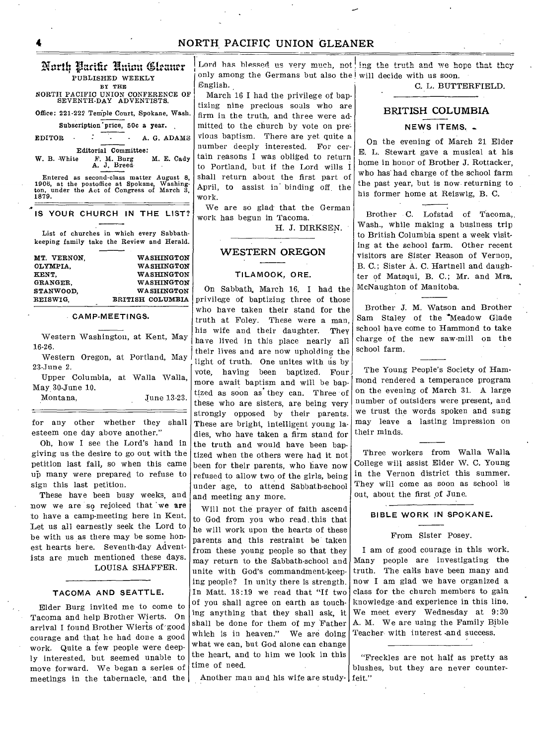# Aarth Pacific Union Gleaner PUBLISHED WEEKLY BY TAB

NORTH PACIFIC UNION CONFERENCE OF SEVENTH-DAY ADVENTISTS.

Office: 221-222 Temple Court, Spokane, Wash.

Subscription' price, 50c a year.

EDITOR  $\cdot$   $\cdot$   $\cdot$   $\cdot$  A. G. ADAMS Editorial Committee:<br>W. B. White F. M. Burg M. E. Cady

W. B. White F. M. Burg M. E. Cady<br>A. J. Breed Entered as second-class matter August 8, 1905, at the postoffice at Spokane, Washing-ton, under the **Act** of Congress of March 3, **1879.** 

|  | IS YOUR CHURCH IN THE LIST? |  |  |
|--|-----------------------------|--|--|

List of churches in which every Sabbathkeeping family take the Review and Herald.

| MT. VERNON. | <b>WASHINGTON</b>       |
|-------------|-------------------------|
| OLYMPIA.    | <b>WASHINGTON</b>       |
| KENT.       | <b>WASHINGTON</b>       |
| GRANGER.    | <b>WASHINGTON</b>       |
| STANWOOD.   | WASHINGTON              |
| REISWIG.    | <b>BRITISH COLUMBIA</b> |
|             |                         |

## CAMP-MEETINGS.

Western Washington, at Kent, May 16-26.

Western Oregon, at Portland, May 23-June 2.

Upper Columbia, at Walla Walla, May 30-June 10.

June 13-23.

for any other whether they shall esteem one day above another."

Oh, how I see the Lord's hand in giving us the desire to go out with the petition last fall, so when this came up many were prepared to refuse to sign this last petition.

These have been busy weeks, and now we are so rejoiced that 'we are to have a camp-meeting here in Kent. Let us all earnestly seek the Lord to be with us as there may be some honest hearts here. Seventh-day Adventists are much mentioned these days. LOUISA SHAFFER.

TACOMA AND SEATTLE. Elder Burg invited me to come to Tacoma and help Brother Wierts. On

arrival I found Brother Wierts of good courage and that he had done a good work. Quite a few people were deeply interested, but seemed unable to move forward. We began a series of meetings in the tabernacle, and the Lord has blessed us very much, not ing the truth and we hope that they only among the Germans but also the will decide with us soon. English. C. L. BUTTERFIELD.

March 16 I had the privilege of baptizing nine precious souls who are firm in the truth, and three were admitted to the church by vote on previous baptism. There are yet quite a number deeply interested. For certain reasons I was obliged to return to Portland, but if the Lord wills I shall return about the first part of April, to assist in' binding off. the work.

We are so glad-that the German work has begun in Tacoma.

H. J. DIRKSEN.

# WESTERN OREGON

#### TILAMOOK, ORE.

On Sabbath, March 16, I had the privilege of baptizing three of those who have taken their stand for the truth at Foley. These were a man, his wife and their daughter. They have lived in this place nearly all their lives and are now upholding the light of truth. One unites with  $\dot{u}$ s by vote, having been baptized. Four more await baptism and will be baptized as soon as they can. Three of these who are sisters, are being very strongly opposed by their parents. These are bright, intelligent young ladies, who have taken a firm stand for the truth and would have been bap• tized when the others were had it not been for their parents, who have now refused to allow two of the girls, being under age, to attend Sabbath-school and meeting any more.

Will not the prayer of faith ascend to God from you who read. this that he will work upon the hearts of these parents and this restraint be taken from these young people so that they may return to the Sabbath-school and unite with God's commandment-keeping people? In unity there is strength. In Matt. 18:19 we read that "If two of you shall agree on earth as touching anything that they shall ask, it shall be done for them of my Father which is in heaven." We are doing what we can, but God alone can change the heart, and to him we look in this time of need.

Another man and his wife are study-feit."

# BRITISH COLUMBIA

## NEWS ITEMS. \_

On the evening of March 21 Elder E. L. Stewart gave a musical at his home in honor of Brother J. Rottacker, who has' had charge of the school farm the past year, but is now returning to his former home at Reiswig, B. C.

Brother C. Lofstad of Tacoma,. Wash., while making a business trip to British Columbia spent a week visiting at the school farm. Other recent visitors are Sister Reason of Vernon, B. C.; Sister A. C. Hartnell and daughter of Matsqui, B. C.; Mr. and Mrs. McNaughton of Manitoba.

Brother J. M. Watson and Brother Sam Staley of the \*Meadow Glade school have come to Hammond to take charge of the new saw-mill on the school farm.

The Young People's Society of Hammond rendered a temperance program on the evening of March 31. A large number of outsiders were present, and we trust the words spoken and sung may leave a lasting impression on their minds.

Three workers from Walla Walla College will assist Elder W. C. Young in the Vernon district this summer. They will come as soon as school is out, about the first of June.

## BIBLE WORK IN SPOKANE.

#### From Sister Posey.

I am of good courage in this work. Many people are investigating the truth. The calls have been many and now I am glad we have organized a class for the church members to gain knowledge and experience in this line. We meet every Wednesday at 9:30 A. M. We are using the Family Bible Teacher with interest and success.

"Freckles are not half as pretty as blushes, but they are never counter-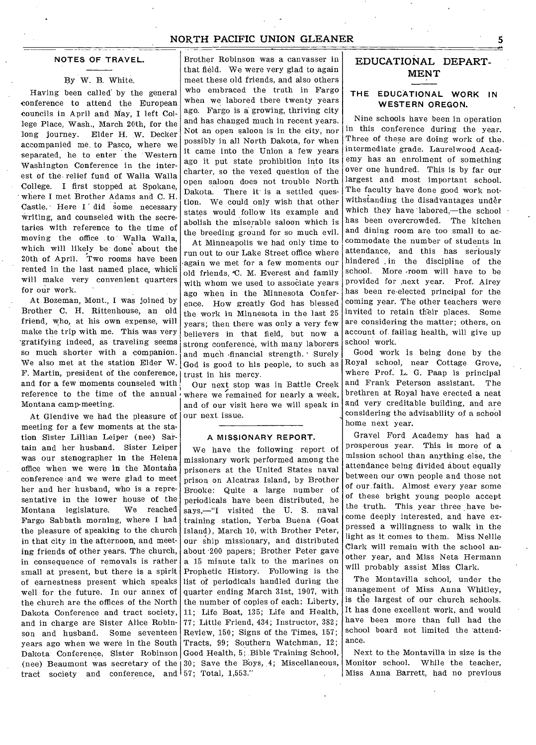#### **NOTES OF TRAVEL.**

## By W. B. White.

Having been called by the general conference to attend the European councils in April and May, I left College Place, Wash., March 20th, for the long journey. Elder H. W. Decker accompanied me. to Pasco, where we separated, he to enter the Western Washington Conference in the interest of the. relief fund of Walla Walla College. I first stopped at Spokane, • where I met Brother Adams and C. H. Castle. Here I did some necessary writing, and counseled with the secretaries with reference to the time of moving the office to Walla Walla, which will likely be done about the 20th of April. Two rooms have been rented in the last named place, which will make very convenient quarters for our work.

At Bozeman, Mont., I was joined by Brother C. H. Rittenhouse, an old friend, who, at his own expense, will make the trip with me. This was very .gratifying indeed, as traveling seems so much shorter with a companion. We also met at the station Elder W. F. Martin, president of the conference, and for a few moments counseled with reference to the time of the annual Montana camp-meeting.

At Glendive we had the pleasure of meeting for a few moments at the station Sister Lillian Leiper (nee) Sartain and her husband. Sister Leiper was our stenographer in the Helena office when we were in the Montana conference and we were glad to meet her and her husband, who is a representative in the lower house of the<br>Montana legislature. We reached Montana legislature. Fargo Sabbath morning, where I had the pleasure of speaking to the church in that city in the afternoon, and meeting friends of other years. The church, in consequence of removals is rather small at present, but there is a spirit of earnestness present which speaks well for the future. In our annex of the church are the offices of the North Dakota Conference and tract society, and in charge are Sister Alice Robinson and husband. Some seventeen years ago when we were in the South Dakota Conference, Sister Robinson Good Health, 5; Bible Training School, (nee) Beaumont was secretary of the 30; Save the BOys, 4; Miscellaneous, tract society and conference, and 57; Total, 1,553."

Brother Robinson was a canvasser in that field. We were very glad to again meet these old friends, and also others who embraced the truth in Fargo when we labored there twenty years ago. Fargo is a growing, thriving city and has changed much in recent years. Not an open saloon is in the city, nor possibly in all North Dakota, for when it came into the Union a few years ago it put state prohibition into its charter, so the vexed question of the open saloon does not trouble North Dakota. There it is a settled question. We could only wish that other states would follow its example and abolish the miserable saloon which is the breeding ground for so much evil.

At Minneapolis we had only time to run out to our Lake Street office where -again we met for a few moments our old friends, 'C. M. Everest and family with whom we used to associate years ago when in the Minnesota Conference. How greatly God has blessed the work in Minnesota in the last 25 years; then there was only a very few believers in that field, but now a strong conference, with many laborers and much financial strength. Surely God is good to his people, to such as trust in his mercy.

Our next stop was in Battle Creek where we remained for nearly a week, and of our visit here we will speak in our next issue.

#### **A MISSIONARY REPORT.**

We have the following report of missionary work performed among the prisoners at the United States naval prison on Alcatraz Island, by Brother Brooke: Quite a large number of periodicals have been distributed, he says,—"I visited the U. S. naval training station, Yerba Buena (Goat Island), March 10, with Brother Peter, our ship missionary, and distributed about 200 papers; Brother Peter gave a 15 minute talk to the marines on Prophetic History. Following is the list of periodicals handled during the quarter ending March 31st, 1907, with the number of copies of each: Liberty, 11; Life Boat, 135; Life and Health, 77; Little Friend, 434; Instructor, 382; Review, 150; Signs of the Times, 157; Tracts, 99; Southern Watchman, 12;

# EDUCATIONAL DEPART-MENT

## **THE EDUCATIONAL WORK IN WESTERN OREGON.**

Nine schools have been in operation in this conference during the year. Three of these are doing work of the. intermediate grade. Laurelwood Academy has an enrolment of something over one hundred. This is by far our largest and most important school. The faculty have done good work notwithstanding the disadvantages under which they have labored,—the school has been overcrowded. The kitchen and dining room are too small to accommodate the number of students in attendance, and this has seriously hindered . in the discipline of the school. More -room will have to be provided for next year. Prof. Airey has been re-elected principal for the coming year. The other teachers were invited to retain their places. Some are considering the matter; others, on account of failing health, will give up school work.

Good work is being done by the Royal school, near Cottage Grove, where Prof. L. G. Paap is principal and Frank Peterson assistant. The brethren at Royal have erected a neat and very creditable building, and are considering the advisability of a school home next year.

Gravel Ford Academy has had a prosperous year. This is more of a mission school than anything else, the attendance being divided about equally between our own people and those not of our faith. Almost every year some of these bright young people accept the truth. This year three have become deeply interested, and have expressed a willingness to walk in the light as it comes to them. Miss Nellie Clark will remain with the school another year, and Miss Neta Hermann will probably assist Miss Clark.

The Montavilla school, under the management of Miss Anna Whitley, is the largest of our church schools. It has done excellent work, and would have been more than full had the school board not limited the attendance.

Next to the Montavilla in size is the Monitor school. While the teacher, Miss Anna Barrett, had no previous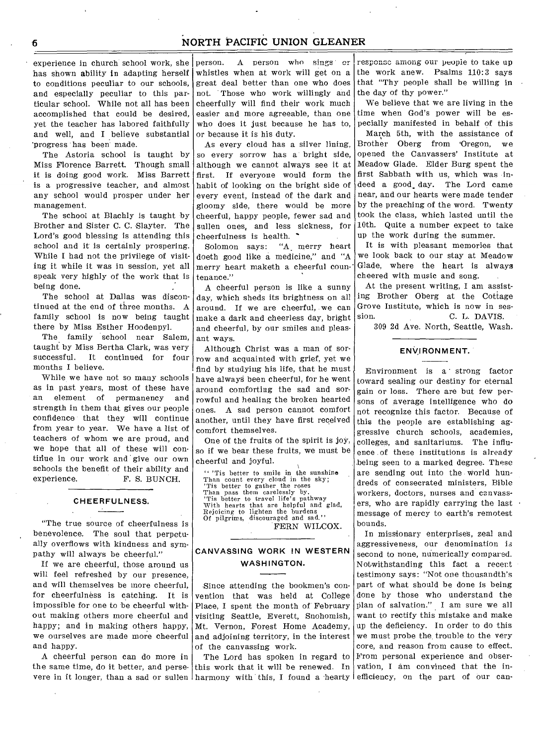experience in church school work, she person. has shown ability in adapting herself whistles when at work will get on a to conditions peculiar to our schools, and especially peculiar to this particular school. While not all has been accomplished that could be desired, yet the teacher has labored faithfully and well, and I believe substantial 'progress has been' made.

The Astoria school is taught by Miss Florence Barrett. Though small it is doing good work. Miss Barrett is a progressive teacher, and almost any school would prosper under her management.

The school at Blachly is taught by Brother and Sister C. C. Slayter. The Lord's good blessing is attending this school and it is certainly prospering. While I had not the privilege of visiting it while it was in session, yet all speak very highly of the work that is being done.

The school at Dallas was discontinued at the end of three months. A family school is now being taught there by Miss Esther Hoodenpyl.

The family school near Salem, taught by Miss Bertha Clark, was very successful. It continued for four months I believe.

While we have not so many schools as in past years, most of these have an element of permanency and strength in them that gives our people confidence that they will continue from year to year. We have a list of teachers of whom we are proud, and we hope that all of these will continue in our work and give our own schools the benefit of their ability and experience. F. S. BUNCH.

#### **CHEERFULNESS.**

"The true source of cheerfulness is benevolence. The soul that perpetually overflows with kindness and sympathy will always be cheerful."

If we are cheerful, those around us will feel refreshed by our presence, and will themselves be more cheerful, for cheerfulness is catching. It is impossible for one to be cheerful without making others more cheerful and happy; and in making others happy, we ourselves are made more cheerful and happy.

A cheerful person can do more in the same time, do it better, and perse-

person. A person who sings or great deal better than one who does not. Those who work willingly and cheerfully will find their work much easier and more agreeable, than one who does it just because he has to, or because it is his duty.

As every cloud has a silver lining, so every sorrow has a bright side, although we cannot always see it at first. If everyone would form the habit of looking on the bright side of every event, instead of the dark and gloomy side, there would be more cheerful, happy people, fewer sad and sullen ones, and less sickness, for cheerfulness is health.  $\cdot$ 

Solomon says: "A merry heart doeth good like a medicine," and "A merry heart maketh a cheerful countenance."

A cheerful person is like a sunny day, which sheds its brightness on all around. If we are cheerful, we can make a dark and cheerless day, bright and cheerful, by our smiles and pleasant ways.

Although Christ was a man of sorrow and acquainted with grief, yet we find by studying his life, that he must have always been cheerful, for he went around comforting the sad and sorrowful and healing the broken hearted ones. A sad person cannot comfort another, until they have first received comfort themselves.

One of the fruits of the spirit is joy, so if we bear these fruits, we must be cheerful and joyful.

"Tis better to smile in the sunshine<br>Than count every cloud in the sky;<br>Tis better to gather the roses<br>Than pass them carelessly by.<br>Tis better to travel life's pathway<br>With hearts that are helpful and glad,<br>Rejoicing to l

FERN WILCOX.

# **CANVASSING WORK !N WESTERN WASHINGTON.**

Since attending the bookmen's convention that was held at College Place, I spent the month of February visiting Seattle, Everett, Snohomish, Mt. Vernon, Forest Home Academy, and adjoining territory, in the interest of the canvassing work.

vere in it longer, than a sad or sullen harmony with this, I found a hearty efficiency, on the part of our can-The Lord has spoken in regard to this work that it will be renewed. In

responsc among our people to take up the work anew. Psalms 110:3 says that "Thy people shall be willing in the day of thy power."

We believe that we are living in the time when God's power will be especially manifested in behalf of this

March 5th, with the assistance of Brother Oberg from 'Oregon, we opened the Canvassers' Institute at Meadow Glade. Elder Burg spent the first Sabbath with us, which was indeed a good. day. The Lord came near, and our hearts were made tender by the preaching of the word. Twenty took the class, which lasted until the 10th. Quite a number expect to take up the work during the summer.

It is with pleasant memories that we look back to our stay at Meadow Glade, where the heart is always cheered with music and song.

At the present writing, I am assisting Brother Oberg at the Cottage Grove Institute, which is now in session. C. L. DAVIS.

309 2d Ave. North, Seattle, Wash.

# **ENVIRONMENT.**

Environment is a strong factor toward sealing our destiny for eternal gain or loss. There are but few persons of average intelligence who do not recognize this factor. Because of this the people are establishing aggressive church schools, academies, colleges, and sanitariums. The influence of these institutions is already \_being seen to a marked degree. These are sending out into the world hundreds of consecrated ministers, Bible workers, doctors, nurses and canvassers, who are rapidly carrying the last message of mercy to earth's remotest bounds.

In missionary enterprises, zeal and aggressiveness, our denomination is second to none, numerically compared. Notwithstanding this fact a recent testimony says: "Not one thousandth's part of what should be done is being done by those who understand the plan of salvation." I am sure we all want to rectify this mistake and make up the deficiency. In order to do this we must probe the trouble to the very core, and reason from cause to effect. From personal experience and observation, I am convinced that the in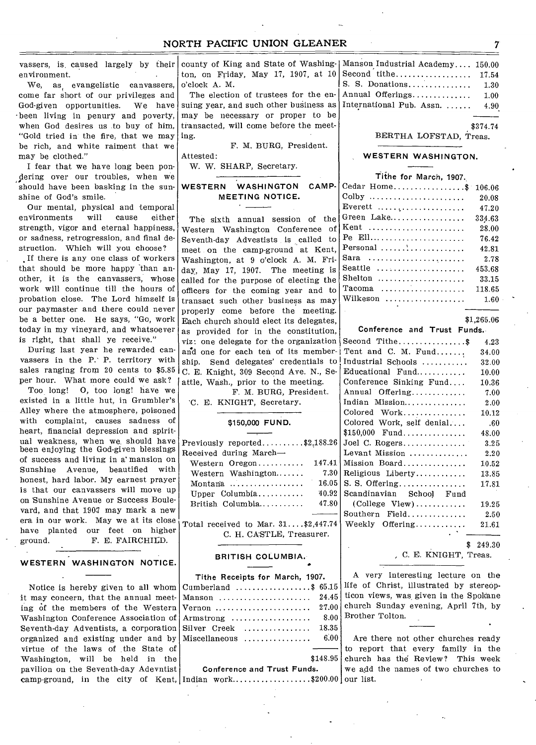vassers, is, caused largely by their environment.

We, as, evangelistic canvassers, come far short of our privileges and God-given opportunities. We have •been living in penury and poverty, when God desires us to buy of him, "Gold tried in the fire, that we may be rich, and white raiment that we may be clothed."

I fear that we have long been pondering over our troubles, when we should have been basking in the sunshine of God's smile.

Our mental, physical and temporal environments will cause either strength, vigor and eternal happiness, or sadness, retrogression, and final destruction. Which will you choose?

If there is any one class of workers that should be more happy 'than another, it is the canvassers, whose work will continue till the hours of probation close. The Lord himself is our paymaster and there could never be a better one. He says, "Go, work today in my vineyard, and whatsoever is right, that shall ye receive."

During last year he rewarded canvassers in the P: P. territory with sales ranging from 20 cents to \$5.85 per hour. What more could we ask?

Too long! 0, too long! have we existed in a little hut, in Grumbler's Alley where the atmosphere, poisoned with complaint, causes sadness of heart, financial depression and spiritual weakness, when we should have been enjoying the God-given blessings of success and living in a' mansion on Sunshine Avenue, beautified with honest, hard labor. My earnest prayer is that our canvassers will move up on 'Sunshine Avenue or Success Boulevard, and that 1907 may mark a new era in our work. May we at its close have planted our feet on higher ground. F. E. FAIRCHILD.

**WESTERN WASHINGTON NOTICE.** 

Notice is hereby given to all whom it may concern, that the annual meeting of the members of the Western Washington Conference Association of Seventh-day Adventists, a corporation organized and existing under and by virtue of the laws of the State of Washington, will be held in the pavilion on the Seventh-day Adevntist camp-ground, in the city of Kent,

county of King and State of Washington, on Friday, May 17, 1907, at 10 o'clock A. M.

The election of trustees for the ensuing year, and such other business as may be necessary or proper to be transacted, will come before the meeting.

F. M. BURG, President. Attested:

W. W. SHARP, Secretary.

# **WESTERN WASHINGTON CAMP-MEETING NOTICE.**

The sixth annual session of the Western Washington Conference of Seventh-day Advestists is called to meet on the camp-ground at Kent, Washington, at 9 o'clock A. M. Friday, May 17, 1907. The meeting is called for the purpose of electing the officers for the coming year and to transact such other business as may properly come before the meeting. Each church should elect its delegates,  $$1,265.06$ as provided for in the constitution, viz: one delegate for the organization and one for each ten of its membership. Send delegates' credentials to C. E. Knight, 309 Second Ave. N., Seattle, Wash., prior to the meeting.

F. M. BURG, President.

# 'C. E. KNIGHT, Secretary.

## \$150,000 **FUND.**

| Previously reported\$2,188.26 |        |
|-------------------------------|--------|
| Received during March-        |        |
| Western $O$ regon             | 147.41 |
| Western Washington            | 7.30   |
| Montana                       | 16.05  |
| Upper Columbia                | 40.92  |
| British Columbia              | 47.80  |
|                               |        |
|                               |        |

Total received to Mar. 31....\$2,447.74 C. H. CASTLE, Treasurer.

# **BRITISH COLUMBIA.**

| Tithe Receipts for March, 1907.        |          |  |
|----------------------------------------|----------|--|
| $Cumberland \ldots, \ldots, \ldots, \$ | 65.15    |  |
| Manson                                 | 24.45    |  |
|                                        | 27.00    |  |
| Armstrong                              | 8.00     |  |
| Silyer, <b>Creek</b> , , , ,           | 18.35    |  |
| Miscellaneous                          | 6.00     |  |
|                                        |          |  |
|                                        | \$148.95 |  |
| Conference and Trust Funds.            |          |  |
| Indian work\$200.00                    |          |  |

| Manson Industrial Academy 150.00       |      |
|----------------------------------------|------|
|                                        |      |
| S. S. Donations 1.30                   |      |
| Annual Offerings                       | 1.00 |
| International Pub. Assn. $\ldots$ 4.90 |      |
|                                        |      |

\$374.74

#### BERTHA LOFSTAD, Treas.

#### **WESTERN WASHINGTON.**

| Tithe for March, 1907.                                  |        |
|---------------------------------------------------------|--------|
| Cedar Home                                              | 106.06 |
| Colby $\dots \dots \dots \dots \dots \dots \dots \dots$ | 20.08  |
| Everett $\dots, \dots, \dots, \dots, \dots$             | 47.20  |
| Green Lake                                              | 334.63 |
| Kent                                                    | 28.00  |
| $Pe$ Ell                                                | 76.42  |
| Personal                                                | 42.81  |
| Sara                                                    | 2.78   |
| Seattle $\dots\dots\dots\dots\dots\dots\dots$           | 453.68 |
| $S$ helton                                              | 33.15  |
| $Tacoma$                                                | 118.65 |
| Wilkeson                                                | 1.60   |
|                                                         |        |

| Second Tithe\$                                  | 4.23      |
|-------------------------------------------------|-----------|
| Tent and C. M. Fund                             | 34.00     |
| Industrial Schools                              | 32.00     |
| Educational Fund                                | 10.00     |
| Conference Sinking Fund                         | 10.36     |
| Annual Offering                                 | 7.00      |
| Indian Mission                                  | 2.00      |
| Colored Work                                    | 10.12     |
| Colored Work, self denial                       | .60       |
| $$150,000$ Fund                                 | 48.00     |
| Joel C. Rogers                                  | 3.25      |
| Levant Mission                                  | 2.20      |
| Mission Board                                   | $10.52\,$ |
| Religious Liberty                               | 13.85     |
| S. S. Offering.                                 | 17.81     |
| Scandinavian School Fund                        |           |
| $\text{(College View)} \dots \dots \dots \dots$ | 19.25     |
| Southern Field                                  | 2.50      |
| Weekly Offering                                 | 21.61     |
|                                                 |           |

\$ 249.30

, C. E. KNIGHT, Treas.

A very interesting lecture on the life of Christ, illustrated by stereopticon views, was given in the Spokane church Sunday evening, April 7th, by Brother Tolton.

Are there not other churches ready to report that every family in the church has the Review? This week we add the names of two churches to our list.